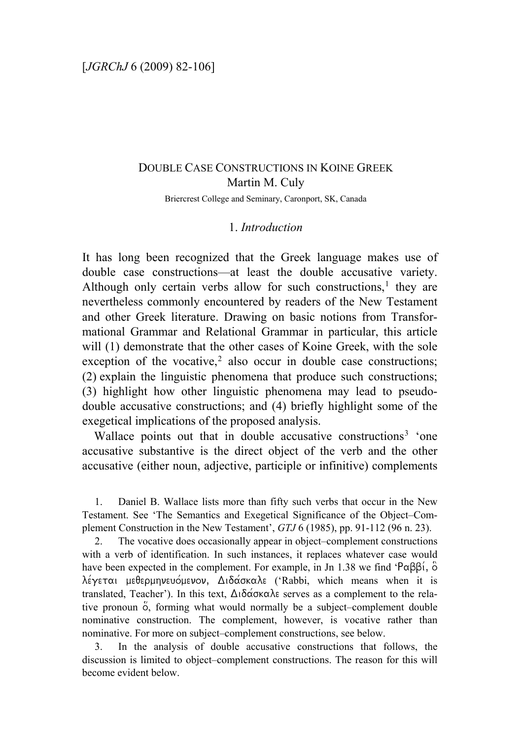# DOUBLE CASE CONSTRUCTIONS IN KOINE GREEK Martin M. Culy Briercrest College and Seminary, Caronport, SK, Canada

# 1. *Introduction*

It has long been recognized that the Greek language makes use of double case constructions—at least the double accusative variety. Although only certain verbs allow for such constructions, $<sup>1</sup>$  $<sup>1</sup>$  $<sup>1</sup>$  they are</sup> nevertheless commonly encountered by readers of the New Testament and other Greek literature. Drawing on basic notions from Transformational Grammar and Relational Grammar in particular, this article will (1) demonstrate that the other cases of Koine Greek, with the sole exception of the vocative, $2$  also occur in double case constructions; (2) explain the linguistic phenomena that produce such constructions; (3) highlight how other linguistic phenomena may lead to pseudodouble accusative constructions; and (4) briefly highlight some of the exegetical implications of the proposed analysis.

Wallace points out that in double accusative constructions<sup>[3](#page-0-2)</sup> 'one accusative substantive is the direct object of the verb and the other accusative (either noun, adjective, participle or infinitive) complements

<span id="page-0-0"></span>1. Daniel B. Wallace lists more than fifty such verbs that occur in the New Testament. See 'The Semantics and Exegetical Significance of the Object–Complement Construction in the New Testament', *GTJ* 6 (1985), pp. 91-112 (96 n. 23).

<span id="page-0-1"></span>2. The vocative does occasionally appear in object–complement constructions with a verb of identification. In such instances, it replaces whatever case would have been expected in the complement. For example, in Jn 1.38 we find 'Rabbi/, o4  $\lambda$ έγεται μεθερμηνευόμενον, Διδάσκαλε ('Rabbi, which means when it is translated, Teacher'). In this text,  $\Delta \delta \acute{\alpha} \sigma \kappa \alpha \lambda \epsilon$  serves as a complement to the relative pronoun  $\ddot{\circ}$ , forming what would normally be a subject–complement double nominative construction. The complement, however, is vocative rather than nominative. For more on subject–complement constructions, see below.

<span id="page-0-2"></span>3. In the analysis of double accusative constructions that follows, the discussion is limited to object–complement constructions. The reason for this will become evident below.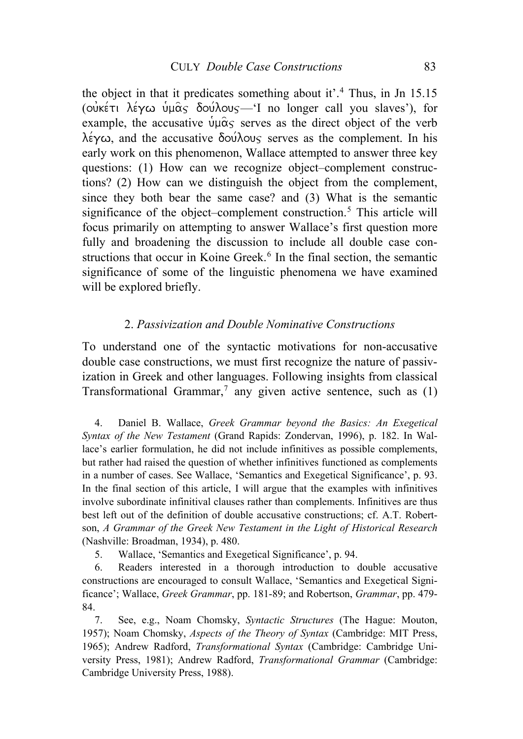the object in that it predicates something about it'.<sup>[4](#page-1-0)</sup> Thus, in Jn 15.15 ( $\overrightarrow{\text{ow}}$ κέτι λέγω υμας δούλους—'I no longer call you slaves'), for example, the accusative  $\psi \mu \hat{\alpha}$  serves as the direct object of the verb  $\lambda \acute{\epsilon} \gamma \omega$ , and the accusative  $\delta \omega \acute{\lambda} \omega_S$  serves as the complement. In his early work on this phenomenon, Wallace attempted to answer three key questions: (1) How can we recognize object–complement constructions? (2) How can we distinguish the object from the complement, since they both bear the same case? and (3) What is the semantic significance of the object–complement construction.<sup>[5](#page-1-1)</sup> This article will focus primarily on attempting to answer Wallace's first question more fully and broadening the discussion to include all double case con-structions that occur in Koine Greek.<sup>[6](#page-1-2)</sup> In the final section, the semantic significance of some of the linguistic phenomena we have examined will be explored briefly.

### 2. *Passivization and Double Nominative Constructions*

To understand one of the syntactic motivations for non-accusative double case constructions, we must first recognize the nature of passivization in Greek and other languages. Following insights from classical Transformational Grammar,<sup>[7](#page-1-3)</sup> any given active sentence, such as  $(1)$ 

<span id="page-1-0"></span>4. Daniel B. Wallace, *Greek Grammar beyond the Basics: An Exegetical Syntax of the New Testament* (Grand Rapids: Zondervan, 1996), p. 182. In Wallace's earlier formulation, he did not include infinitives as possible complements, but rather had raised the question of whether infinitives functioned as complements in a number of cases. See Wallace, 'Semantics and Exegetical Significance', p. 93. In the final section of this article, I will argue that the examples with infinitives involve subordinate infinitival clauses rather than complements. Infinitives are thus best left out of the definition of double accusative constructions; cf. A.T. Robertson, *A Grammar of the Greek New Testament in the Light of Historical Research* (Nashville: Broadman, 1934), p. 480.

5. Wallace, 'Semantics and Exegetical Significance', p. 94.

<span id="page-1-2"></span><span id="page-1-1"></span>6. Readers interested in a thorough introduction to double accusative constructions are encouraged to consult Wallace, 'Semantics and Exegetical Significance'; Wallace, *Greek Grammar*, pp. 181-89; and Robertson, *Grammar*, pp. 479- 84.

<span id="page-1-3"></span>7. See, e.g., Noam Chomsky, *Syntactic Structures* (The Hague: Mouton, 1957); Noam Chomsky, *Aspects of the Theory of Syntax* (Cambridge: MIT Press, 1965); Andrew Radford, *Transformational Syntax* (Cambridge: Cambridge University Press, 1981); Andrew Radford, *Transformational Grammar* (Cambridge: Cambridge University Press, 1988).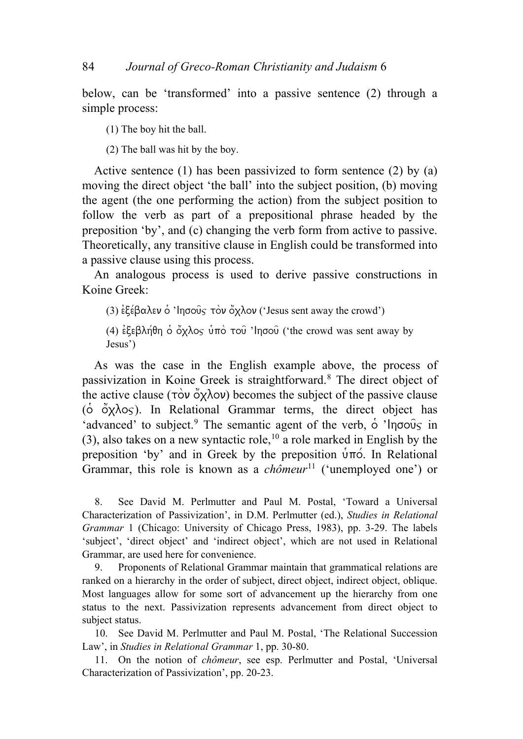below, can be 'transformed' into a passive sentence (2) through a simple process:

(1) The boy hit the ball.

(2) The ball was hit by the boy.

Active sentence (1) has been passivized to form sentence (2) by (a) moving the direct object 'the ball' into the subject position, (b) moving the agent (the one performing the action) from the subject position to follow the verb as part of a prepositional phrase headed by the preposition 'by', and (c) changing the verb form from active to passive. Theoretically, any transitive clause in English could be transformed into a passive clause using this process.

An analogous process is used to derive passive constructions in Koine Greek:

(3)  $\epsilon \xi \epsilon \beta \alpha \lambda \epsilon \nu \dot{\delta}$  'Ingous  $\tau \dot{\delta} \nu \ddot{\delta} \chi \lambda \dot{\delta} \nu$  ('Jesus sent away the crowd')

(4)  $\epsilon$  εβλήθη  $\delta$  όχλος ύπο του 'Inσου ('the crowd was sent away by Jesus')

As was the case in the English example above, the process of passivization in Koine Greek is straightforward.[8](#page-2-0) The direct object of the active clause ( $\overrightarrow{row}$   $\alpha\overrightarrow{v}$ ) becomes the subject of the passive clause ( $\dot{\circ}$   $\ddot{\circ}$   $\chi$  $\lambda$ o $\varsigma$ ). In Relational Grammar terms, the direct object has 'advanced' to subject.<sup>[9](#page-2-1)</sup> The semantic agent of the verb,  $\dot{\circ}$  'Ingoug' in (3), also takes on a new syntactic role,<sup>[10](#page-2-2)</sup> a role marked in English by the preposition 'by' and in Greek by the preposition  $\hat{\nu}$  mo. In Relational Grammar, this role is known as a *chômeur*<sup>[11](#page-2-3)</sup> ('unemployed one') or

<span id="page-2-0"></span>8. See David M. Perlmutter and Paul M. Postal, 'Toward a Universal Characterization of Passivization', in D.M. Perlmutter (ed.), *Studies in Relational Grammar* 1 (Chicago: University of Chicago Press, 1983), pp. 3-29. The labels 'subject', 'direct object' and 'indirect object', which are not used in Relational Grammar, are used here for convenience.

<span id="page-2-1"></span>9. Proponents of Relational Grammar maintain that grammatical relations are ranked on a hierarchy in the order of subject, direct object, indirect object, oblique. Most languages allow for some sort of advancement up the hierarchy from one status to the next. Passivization represents advancement from direct object to subject status.

<span id="page-2-2"></span>10. See David M. Perlmutter and Paul M. Postal, 'The Relational Succession Law', in *Studies in Relational Grammar* 1, pp. 30-80.

<span id="page-2-3"></span>11. On the notion of *chômeur*, see esp. Perlmutter and Postal, 'Universal Characterization of Passivization', pp. 20-23.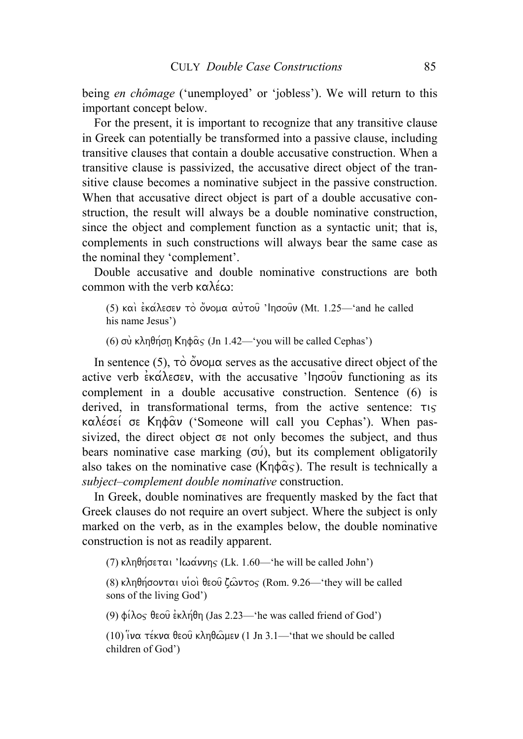being *en chômage* ('unemployed' or 'jobless'). We will return to this important concept below.

For the present, it is important to recognize that any transitive clause in Greek can potentially be transformed into a passive clause, including transitive clauses that contain a double accusative construction. When a transitive clause is passivized, the accusative direct object of the transitive clause becomes a nominative subject in the passive construction. When that accusative direct object is part of a double accusative construction, the result will always be a double nominative construction, since the object and complement function as a syntactic unit; that is, complements in such constructions will always bear the same case as the nominal they 'complement'.

Double accusative and double nominative constructions are both common with the verb  $\kappa \alpha \lambda \epsilon \omega$ .

(5) και εκάλεσεν το όνομα αυτού 'Inσουν (Mt. 1.25—'and he called his name Jesus')

(6) σύ κληθήση Κηφ $\hat{\alpha}$ ς (Jn 1.42—'you will be called Cephas')

In sentence (5),  $\tau\circ\sigma\$ {a} serves as the accusative direct object of the active verb  $\epsilon \times \alpha \lambda \epsilon \sigma \epsilon \nu$ , with the accusative 'Ingouv functioning as its complement in a double accusative construction. Sentence (6) is derived, in transformational terms, from the active sentence:  $\tau_{15}$  $k\alpha\lambda \acute{\epsilon}$ σεί σε Κηφ $\hat{\alpha}$ ν ('Someone will call you Cephas'). When passivized, the direct object  $\sigma \varepsilon$  not only becomes the subject, and thus bears nominative case marking  $(\sigma \nu)$ , but its complement obligatorily also takes on the nominative case ( $\mathsf{Kn}\hat{\alpha}$ s). The result is technically a *subject–complement double nominative* construction.

In Greek, double nominatives are frequently masked by the fact that Greek clauses do not require an overt subject. Where the subject is only marked on the verb, as in the examples below, the double nominative construction is not as readily apparent.

(7) κληθήσεται ' $\log \frac{\alpha}{\pi}$  (Lk. 1.60—'he will be called John')

(8) κληθήσονται υιοί θεού ζώντος (Rom. 9.26—'they will be called sons of the living God')

(9)  $\phi$ ίλος θεοῦ ἐκλήθη (Jas 2.23—'he was called friend of God')

(10)  $\sqrt{10}$  vα τέκνα θεού κληθώμεν (1 Jn 3.1—'that we should be called children of God')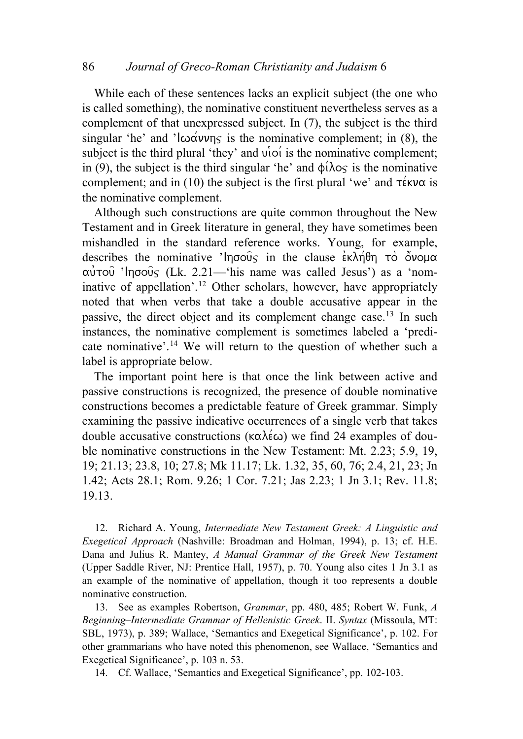While each of these sentences lacks an explicit subject (the one who is called something), the nominative constituent nevertheless serves as a complement of that unexpressed subject. In (7), the subject is the third singular 'he' and ' $\log \frac{\alpha v}{n}$  is the nominative complement; in (8), the subject is the third plural 'they' and  $\vec{v}$  oi is the nominative complement; in (9), the subject is the third singular 'he' and  $\phi(\lambda) \circ \zeta$  is the nominative complement; and in (10) the subject is the first plural 'we' and  $\tau \notin w\alpha$  is the nominative complement.

Although such constructions are quite common throughout the New Testament and in Greek literature in general, they have sometimes been mishandled in the standard reference works. Young, for example, describes the nominative 'lnoove in the clause  $\epsilon \kappa \lambda \eta \theta$ h to o $\delta \nu \rho \mu \alpha$  $\alpha$ <sup> $\alpha$ </sup> $\alpha$ <sup>3</sup> 'In $\sigma$  $\alpha$  $\alpha$ <sup>5</sup>'s (Lk. 2.21—'his name was called Jesus') as a 'nominative of appellation'.[12](#page-4-0) Other scholars, however, have appropriately noted that when verbs that take a double accusative appear in the passive, the direct object and its complement change case.<sup>[13](#page-4-1)</sup> In such instances, the nominative complement is sometimes labeled a 'predi-cate nominative'.<sup>[14](#page-4-2)</sup> We will return to the question of whether such a label is appropriate below.

The important point here is that once the link between active and passive constructions is recognized, the presence of double nominative constructions becomes a predictable feature of Greek grammar. Simply examining the passive indicative occurrences of a single verb that takes double accusative constructions ( $\kappa \alpha \lambda \epsilon \omega$ ) we find 24 examples of double nominative constructions in the New Testament: Mt. 2.23; 5.9, 19, 19; 21.13; 23.8, 10; 27.8; Mk 11.17; Lk. 1.32, 35, 60, 76; 2.4, 21, 23; Jn 1.42; Acts 28.1; Rom. 9.26; 1 Cor. 7.21; Jas 2.23; 1 Jn 3.1; Rev. 11.8; 19.13.

<span id="page-4-0"></span>12. Richard A. Young, *Intermediate New Testament Greek: A Linguistic and Exegetical Approach* (Nashville: Broadman and Holman, 1994), p. 13; cf. H.E. Dana and Julius R. Mantey, *A Manual Grammar of the Greek New Testament*  (Upper Saddle River, NJ: Prentice Hall, 1957), p. 70. Young also cites 1 Jn 3.1 as an example of the nominative of appellation, though it too represents a double nominative construction.

<span id="page-4-1"></span>13. See as examples Robertson, *Grammar*, pp. 480, 485; Robert W. Funk, *A Beginning–Intermediate Grammar of Hellenistic Greek*. II. *Syntax* (Missoula, MΤ: SBL, 1973), p. 389; Wallace, 'Semantics and Exegetical Significance', p. 102. For other grammarians who have noted this phenomenon, see Wallace, 'Semantics and Exegetical Significance', p. 103 n. 53.

<span id="page-4-2"></span>14. Cf. Wallace, 'Semantics and Exegetical Significance', pp. 102-103.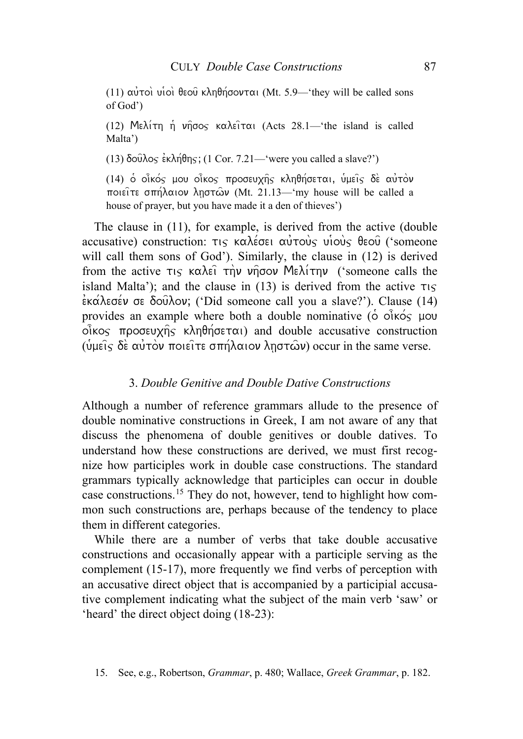(11) αύτοι υιοί θεού κληθήσονται (Mt. 5.9—'they will be called sons of God')

(12) Me $\lambda$ irn h  $\nu$ ndos ka $\lambda$ eirai (Acts 28.1—'the island is called Malta')

(13)  $\delta$ o $\hat{\alpha}$  $\lambda$ os  $\hat{\epsilon}$ κλή $\theta$ ης; (1 Cor. 7.21—'were you called a slave?')

(14) o oi $\kappa$ oς μου οiκος προσευχής κληθήσεται, υμεις δε αυτον ποιείτε σπήλαιον ληστών (Mt. 21.13—'my house will be called a house of prayer, but you have made it a den of thieves')

The clause in (11), for example, is derived from the active (double accusative) construction:  $\tau$  $\varsigma$  καλέσει αυτους υιους θεου ('someone will call them sons of God'). Similarly, the clause in (12) is derived from the active  $\tau_{15}$  καλεί την νήσον Μελίτην ('someone calls the island Malta'); and the clause in  $(13)$  is derived from the active  $\tau_{15}$  $\frac{\partial}{\partial x}$   $\frac{\partial}{\partial y}$  or  $\frac{\partial}{\partial y}$ , ('Did someone call you a slave?'). Clause (14) provides an example where both a double nominative ( $\dot{\circ}$  oi $\dot{\circ}$   $\dot{\circ}$   $\dot{\circ}$   $\dot{\circ}$  mou  $o$  $\hat{i}$ kos  $\pi$ pogeux $\hat{n}$ s k $\lambda$ n $\theta$ n $\hat{o}$ e $\tau$  $\alpha$ <sub>l</sub>) and double accusative construction ( $\hat{\psi}$ μείς δέ αυτόν ποιείτε σπήλαιον ληστών) occur in the same verse.

### 3. *Double Genitive and Double Dative Constructions*

Although a number of reference grammars allude to the presence of double nominative constructions in Greek, I am not aware of any that discuss the phenomena of double genitives or double datives. To understand how these constructions are derived, we must first recognize how participles work in double case constructions. The standard grammars typically acknowledge that participles can occur in double case constructions.[15](#page-5-0) They do not, however, tend to highlight how common such constructions are, perhaps because of the tendency to place them in different categories.

<span id="page-5-0"></span> While there are a number of verbs that take double accusative constructions and occasionally appear with a participle serving as the complement (15-17), more frequently we find verbs of perception with an accusative direct object that is accompanied by a participial accusative complement indicating what the subject of the main verb 'saw' or 'heard' the direct object doing (18-23):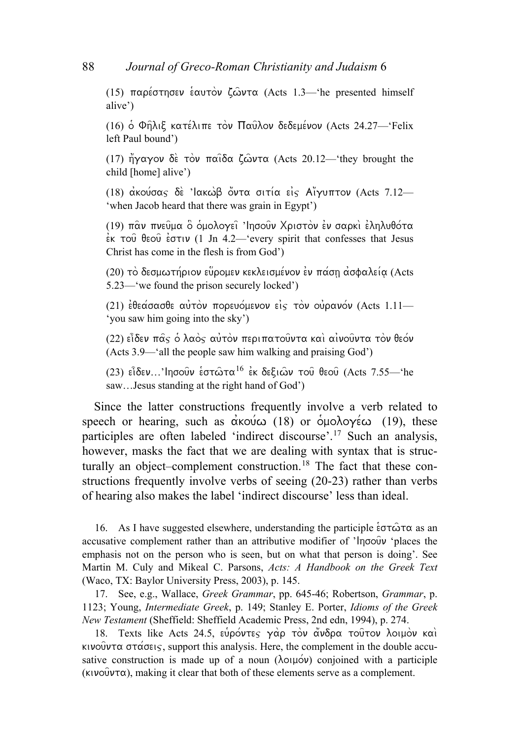(15) παρέστησεν εαυτον ζώντα (Acts 1.3—'he presented himself alive')

(16) ο Φηλιξ κατέλιπε τον Παυλον δεδεμένον (Acts 24.27-'Felix left Paul bound')

(17)  $\eta'$  $\gamma \alpha \gamma$ ov  $\delta \dot{\epsilon}$  τον παιδα ζώντα (Acts 20.12—'they brought the child [home] alive')

(18) ακούσας δε 'Ιακωβ όντα σιτία είς Αϊγυπτον (Acts 7.12— 'when Jacob heard that there was grain in Egypt')

(19) παν πνεύμα ο ομολογεί 'Ιησούν Χριστον εν σαρκι εληλυθότα  $\frac{1}{2}$ <sub>EK</sub>  $\tau$ ou  $\theta$ <sub>E</sub>ou  $\frac{1}{2}$  co $\tau$  (1 Jn 4.2—'every spirit that confesses that Jesus Christ has come in the flesh is from God')

(20) το δεσμωτήριον εύρομεν κεκλεισμένον εν πάση ασφαλεία (Acts 5.23—'we found the prison securely locked')

(21)  $\epsilon$ θεάσασθε αύτον πορευόμενον είς τον ούρανόν (Acts 1.11— 'you saw him going into the sky')

(22) είδεν π $\hat{\alpha}$ ς ο λαός αύτον περιπατούντα και αινούντα τον θεόν (Acts 3.9—'all the people saw him walking and praising God')

(23) είδεν...'Iησούν εστώτα<sup>[16](#page-6-0)</sup> εκ δεξιών του θεου (Acts 7.55—'he saw…Jesus standing at the right hand of God')

Since the latter constructions frequently involve a verb related to speech or hearing, such as  $\alpha$ <sup>ko</sup>w (18) or  $\alpha$ <sub>p</sub>ologies (19), these participles are often labeled 'indirect discourse'.[17](#page-6-1) Such an analysis, however, masks the fact that we are dealing with syntax that is struc-turally an object–complement construction.<sup>[18](#page-6-2)</sup> The fact that these constructions frequently involve verbs of seeing (20-23) rather than verbs of hearing also makes the label 'indirect discourse' less than ideal.

<span id="page-6-0"></span>16. As I have suggested elsewhere, understanding the participle  $\epsilon \sigma \tau \hat{\omega} \tau \alpha$  as an accusative complement rather than an attributive modifier of 'lnoou' 'places the emphasis not on the person who is seen, but on what that person is doing'. See Martin M. Culy and Mikeal C. Parsons, *Acts: A Handbook on the Greek Text* (Waco, TX: Baylor University Press, 2003), p. 145.

<span id="page-6-1"></span>17. See, e.g., Wallace, *Greek Grammar*, pp. 645-46; Robertson, *Grammar*, p. 1123; Young, *Intermediate Greek*, p. 149; Stanley E. Porter, *Idioms of the Greek New Testament* (Sheffield: Sheffield Academic Press, 2nd edn, 1994), p. 274.

<span id="page-6-2"></span>18. Texts like Acts 24.5, εύρόντες γάρ τον άνδρα του τον λοιμον και  $\kappa$ ivouv $\tau\alpha$  or $\alpha$  origin, support this analysis. Here, the complement in the double accusative construction is made up of a noun ( $\lambda$ o $\mu$ o $\nu$ ) conjoined with a participle  $(kivo\hat{v}v\tau\alpha)$ , making it clear that both of these elements serve as a complement.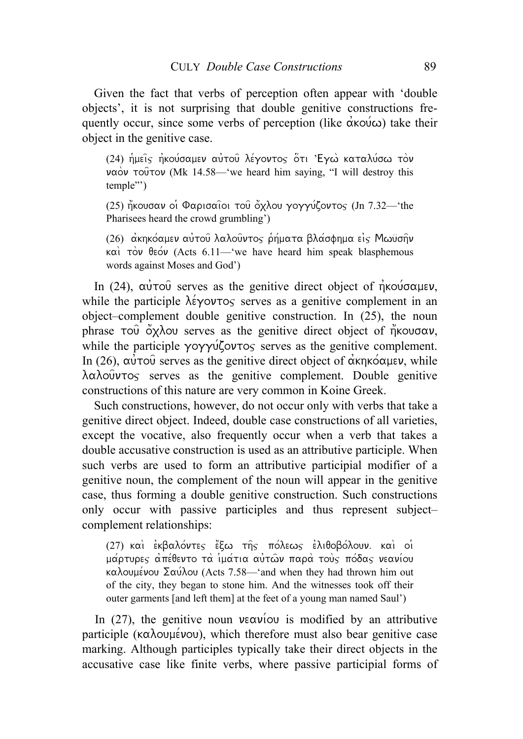Given the fact that verbs of perception often appear with 'double objects', it is not surprising that double genitive constructions frequently occur, since some verbs of perception (like  $\alpha\kappa o(\omega)$ ) take their object in the genitive case.

(24) ήμεις ηκούσαμεν αύτου λέγοντος ότι 'Εγω καταλύσω τον  $\nu\alpha\dot{\alpha}\nu$  τούτον (Mk 14.58—'we heard him saying, "I will destroy this temple"')

(25) ήκουσαν οι Φαρισαιοι του όχλου γογγύζοντος (Jn 7.32—'the Pharisees heard the crowd grumbling')

(26) ακηκόαμεν αύτου λαλουντος ρήματα βλασφημα είς Μωϋσην  $\kappa\alpha$  τον θεόν (Acts 6.11—'we have heard him speak blasphemous words against Moses and God')

In (24),  $\alpha \dot{\nu} \tau \circ \hat{\nu}$  serves as the genitive direct object of  $\dot{\eta} \kappa \circ \dot{\nu} \circ \alpha \mu \epsilon \nu$ , while the participle  $\lambda \neq y$  over  $\infty$  serves as a genitive complement in an object–complement double genitive construction. In (25), the noun phrase  $\overline{1}$  over  $\overline{0}$  oxidous serves as the genitive direct object of  $\overline{\eta}$  kougov, while the participle  $\gamma$ o $\gamma\gamma\gamma\zeta$  over  $\gamma$  serves as the genitive complement. In (26), αυτού serves as the genitive direct object of ακηκό αμεν, while  $\lambda \alpha \lambda$  ouvrog serves as the genitive complement. Double genitive constructions of this nature are very common in Koine Greek.

Such constructions, however, do not occur only with verbs that take a genitive direct object. Indeed, double case constructions of all varieties, except the vocative, also frequently occur when a verb that takes a double accusative construction is used as an attributive participle. When such verbs are used to form an attributive participial modifier of a genitive noun, the complement of the noun will appear in the genitive case, thus forming a double genitive construction. Such constructions only occur with passive participles and thus represent subject– complement relationships:

(27) και εκβαλόντες έξω της πόλεως ελιθοβόλουν. και οι μάρτυρες απέθεντο τα ίμάτια αὐτῶν παρα τους πόδας νεανίου καλουμένου Σαύλου (Acts 7.58—'and when they had thrown him out of the city, they began to stone him. And the witnesses took off their outer garments [and left them] at the feet of a young man named Saul')

In (27), the genitive noun  $\nu \in \alpha \nu(\infty)$  is modified by an attributive participle ( $\kappa \alpha \lambda$ ouµévou), which therefore must also bear genitive case marking. Although participles typically take their direct objects in the accusative case like finite verbs, where passive participial forms of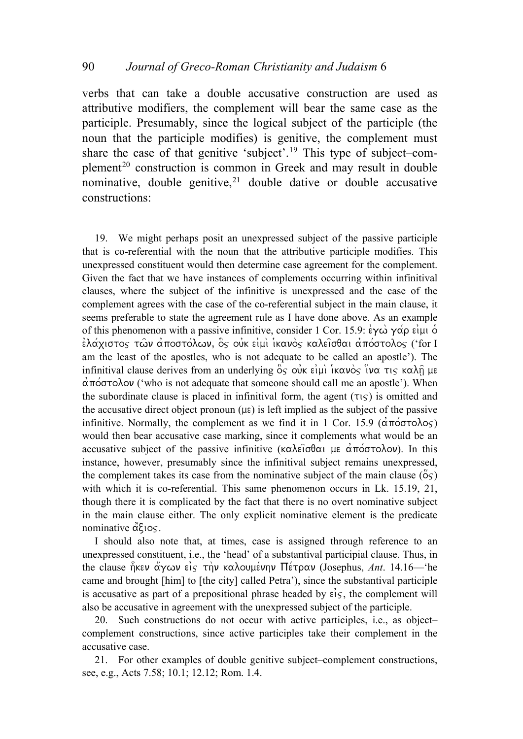### 90 *Journal of Greco-Roman Christianity and Judaism* 6

verbs that can take a double accusative construction are used as attributive modifiers, the complement will bear the same case as the participle. Presumably, since the logical subject of the participle (the noun that the participle modifies) is genitive, the complement must share the case of that genitive 'subject'.[19](#page-8-0) This type of subject–com-plement<sup>[20](#page-8-1)</sup> construction is common in Greek and may result in double nominative, double genitive,<sup>[21](#page-8-2)</sup> double dative or double accusative constructions:

<span id="page-8-0"></span>19. We might perhaps posit an unexpressed subject of the passive participle that is co-referential with the noun that the attributive participle modifies. This unexpressed constituent would then determine case agreement for the complement. Given the fact that we have instances of complements occurring within infinitival clauses, where the subject of the infinitive is unexpressed and the case of the complement agrees with the case of the co-referential subject in the main clause, it seems preferable to state the agreement rule as I have done above. As an example of this phenomenon with a passive infinitive, consider 1 Cor. 15.9:  $\epsilon y \omega y \alpha \rho \epsilon \mu$  o  $\epsilon$ λάχιστος τῶν ἀποστόλων, ὃς οὐκ εἰμὶ ἱκανὸς καλεῖσθαι ἀπόστολος ('for I am the least of the apostles, who is not adequate to be called an apostle'). The infinitival clause derives from an underlying  $\delta s$  ouk eiµi ikavo $\delta s$  iva  $\tau s$  kal $\delta$  µe  $\alpha$ πόστολον ('who is not adequate that someone should call me an apostle'). When the subordinate clause is placed in infinitival form, the agent  $(\tau \circ)$  is omitted and the accusative direct object pronoun  $(\mu \varepsilon)$  is left implied as the subject of the passive infinitive. Normally, the complement as we find it in 1 Cor. 15.9 ( $\alpha \pi \acute{\circ} \sigma \tau \acute{\circ} \lambda \circ \varsigma$ ) would then bear accusative case marking, since it complements what would be an accusative subject of the passive infinitive ( $\kappa\alpha\lambda\epsilon\overline{\iota}\sigma\theta\alpha\overline{\iota}$  pe  $\alpha\overline{\iota}\tau\circ\sigma\lambda\circ\nu$ ). In this instance, however, presumably since the infinitival subject remains unexpressed, the complement takes its case from the nominative subject of the main clause ( $\ddot{\circ}$ s) with which it is co-referential. This same phenomenon occurs in Lk. 15.19, 21, though there it is complicated by the fact that there is no overt nominative subject in the main clause either. The only explicit nominative element is the predicate nominative  $\alpha \xi$ <sub>105</sub>.

I should also note that, at times, case is assigned through reference to an unexpressed constituent, i.e., the 'head' of a substantival participial clause. Thus, in the clause ήκεν άγων είς την καλουμένην Πέτραν (Josephus, *Ant.* 14.16—'he came and brought [him] to [the city] called Petra'), since the substantival participle is accusative as part of a prepositional phrase headed by  $\epsilon$ *is*, the complement will also be accusative in agreement with the unexpressed subject of the participle.

<span id="page-8-1"></span>20. Such constructions do not occur with active participles, i.e., as object– complement constructions, since active participles take their complement in the accusative case.

<span id="page-8-2"></span>21. For other examples of double genitive subject–complement constructions, see, e.g., Acts 7.58; 10.1; 12.12; Rom. 1.4.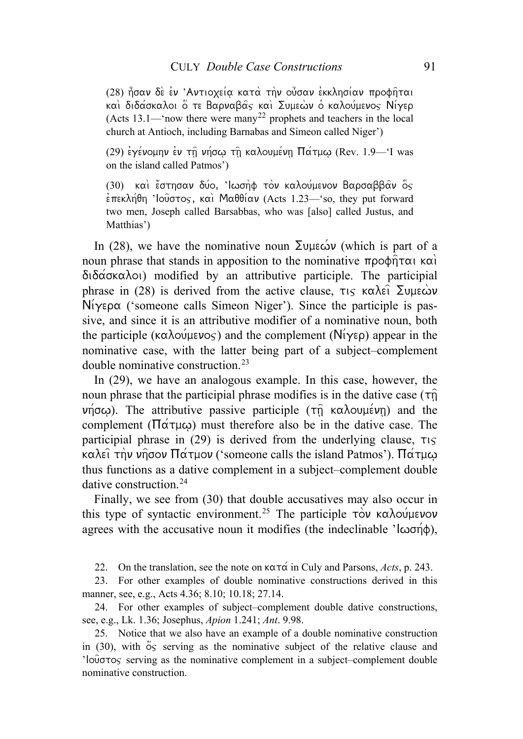(28) ήσαν δε εν 'Αντιοχεία κατα την ούσαν εκκλησίαν προφήται και διδάσκαλοι ο τε Βαρναβας και Συμεων ο καλούμενος Νίγερ (Acts 13.1—'now there were many<sup>[22](#page-9-0)</sup> prophets and teachers in the local church at Antioch, including Barnabas and Simeon called Niger')

(29) εγένομην εν τη νήσω τη καλουμένη Πάτμω (Rev. 1.9—'I was on the island called Patmos')

(30) και έστησαν δύο, 'Ιωσηφ τον καλούμενον Βαρσαββαν ος  $\epsilon$ πεκλήθη 'Ιούστος, και Μαθθίαν (Acts 1.23—'so, they put forward two men, Joseph called Barsabbas, who was [also] called Justus, and Matthias')

In (28), we have the nominative noun  $\Sigma$ uus $\omega$  (which is part of a noun phrase that stands in apposition to the nominative  $\pi \rho \circ \phi \eta \tau \alpha \in \mathbb{R}$  $\delta \tilde{\alpha}$   $\sigma$   $\alpha$  $\lambda$ oi) modified by an attributive participle. The participial phrase in (28) is derived from the active clause,  $\tau$ <sub>15</sub>  $\kappa \alpha \lambda \epsilon \hat{i} \sum \nu \mu \epsilon \omega \nu$  $N_i\gamma \varepsilon \rho \alpha$  ('someone calls Simeon Niger'). Since the participle is passive, and since it is an attributive modifier of a nominative noun, both the participle ( $\kappa \alpha \lambda o \psi \psi$  and the complement ( $N(\gamma \epsilon \rho)$ ) appear in the nominative case, with the latter being part of a subject–complement double nominative construction.[23](#page-9-1)

In (29), we have an analogous example. In this case, however, the noun phrase that the participial phrase modifies is in the dative case  $(\tau \hat{n})$  $ν$ ησω). The attributive passive participle (τη καλουμένη) and the complement ( $\Pi\alpha\tau\mu\omega$ ) must therefore also be in the dative case. The participial phrase in (29) is derived from the underlying clause,  $\tau$ <sub>is</sub>  $\kappa \alpha \lambda \epsilon$ ι την νησον Πάτμον ('someone calls the island Patmos'). Πάτμω thus functions as a dative complement in a subject–complement double dative construction.[24](#page-9-2)

Finally, we see from (30) that double accusatives may also occur in this type of syntactic environment.<sup>25</sup> The participle  $\tau$ <sup>o</sup> ka $\lambda$ ov/menon agrees with the accusative noun it modifies (the indeclinable ' $\vert \omega \sigma \eta \phi \rangle$ ),

22. On the translation, see the note on  $\kappa \alpha \tau \alpha$  in Culy and Parsons, *Acts*, p. 243.

<span id="page-9-1"></span><span id="page-9-0"></span>23. For other examples of double nominative constructions derived in this manner, see, e.g., Acts 4.36; 8.10; 10.18; 27.14.

<span id="page-9-2"></span>24. For other examples of subject–complement double dative constructions, see, e.g., Lk. 1.36; Josephus, *Apion* 1.241; *Ant*. 9.98.

<span id="page-9-3"></span>25. Notice that we also have an example of a double nominative construction in  $(30)$ , with  $\sigma$  serving as the nominative subject of the relative clause and ' $\log$  $\sigma$  serving as the nominative complement in a subject–complement double nominative construction.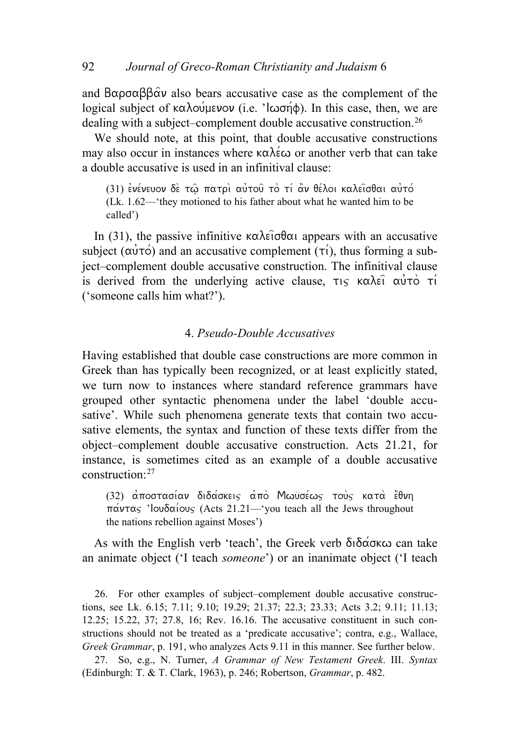and  $B\alpha\rho\sigma\alpha\beta\beta\alpha v$  also bears accusative case as the complement of the logical subject of  $\kappa \alpha \lambda o \psi$ μενον (i.e. ' $\kappa \alpha \gamma \phi$ ). In this case, then, we are dealing with a subject–complement double accusative construction.<sup>[26](#page-10-0)</sup>

 We should note, at this point, that double accusative constructions may also occur in instances where  $\kappa \alpha \lambda \in \omega$  or another verb that can take a double accusative is used in an infinitival clause:

(31) ενένευον δε τω πατρι αυτού το τι αν θέλοι καλεισθαι αυτό (Lk. 1.62—'they motioned to his father about what he wanted him to be called')

In (31), the passive infinitive  $\kappa \alpha \lambda \epsilon \hat{\iota} \sigma \theta \alpha \hat{\iota}$  appears with an accusative subject ( $\alpha \dot{v} \tau \dot{\circ}$ ) and an accusative complement ( $\tau \dot{\iota}$ ), thus forming a subject–complement double accusative construction. The infinitival clause is derived from the underlying active clause,  $\tau$ <sub>is</sub>  $\kappa \alpha \lambda \epsilon \hat{i} \alpha \hat{j} \tau \hat{o} \tau \hat{i}$ ('someone calls him what?').

# 4. *Pseudo-Double Accusatives*

Having established that double case constructions are more common in Greek than has typically been recognized, or at least explicitly stated, we turn now to instances where standard reference grammars have grouped other syntactic phenomena under the label 'double accusative'. While such phenomena generate texts that contain two accusative elements, the syntax and function of these texts differ from the object–complement double accusative construction. Acts 21.21, for instance, is sometimes cited as an example of a double accusative construction:[27](#page-10-1)

(32) αποστασίαν διδάσκεις από Μωϋσέως τούς κατά έθνη  $\pi\alpha v \tau\alpha s$  'Iou $\delta\alpha$ ious (Acts 21.21—'you teach all the Jews throughout the nations rebellion against Moses')

As with the English verb 'teach', the Greek verb  $\delta \tilde{\delta}$   $\alpha$ an animate object ('I teach *someone*') or an inanimate object ('I teach

<span id="page-10-0"></span>26. For other examples of subject–complement double accusative constructions, see Lk. 6.15; 7.11; 9.10; 19.29; 21.37; 22.3; 23.33; Acts 3.2; 9.11; 11.13; 12.25; 15.22, 37; 27.8, 16; Rev. 16.16. The accusative constituent in such constructions should not be treated as a 'predicate accusative'; contra, e.g., Wallace, *Greek Grammar*, p. 191, who analyzes Acts 9.11 in this manner. See further below.

<span id="page-10-1"></span>27. So, e.g., N. Turner, *A Grammar of New Testament Greek*. III. *Syntax* (Edinburgh: T. & T. Clark, 1963), p. 246; Robertson, *Grammar*, p. 482.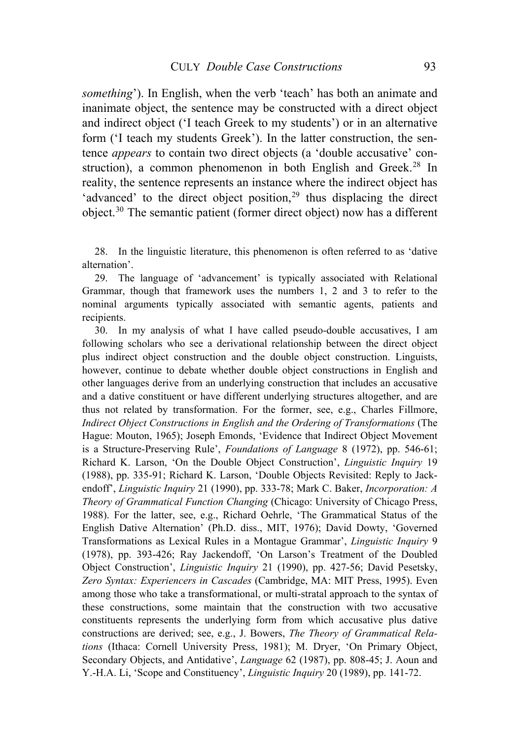*something*'). In English, when the verb 'teach' has both an animate and inanimate object, the sentence may be constructed with a direct object and indirect object ('I teach Greek to my students') or in an alternative form ('I teach my students Greek'). In the latter construction, the sentence *appears* to contain two direct objects (a 'double accusative' con-struction), a common phenomenon in both English and Greek.<sup>[28](#page-11-0)</sup> In reality, the sentence represents an instance where the indirect object has 'advanced' to the direct object position, $2<sup>9</sup>$  thus displacing the direct object.[30](#page-11-2) The semantic patient (former direct object) now has a different

<span id="page-11-0"></span>28. In the linguistic literature, this phenomenon is often referred to as 'dative alternation'.

<span id="page-11-1"></span>29. The language of 'advancement' is typically associated with Relational Grammar, though that framework uses the numbers 1, 2 and 3 to refer to the nominal arguments typically associated with semantic agents, patients and recipients.

<span id="page-11-2"></span>30. In my analysis of what I have called pseudo-double accusatives, I am following scholars who see a derivational relationship between the direct object plus indirect object construction and the double object construction. Linguists, however, continue to debate whether double object constructions in English and other languages derive from an underlying construction that includes an accusative and a dative constituent or have different underlying structures altogether, and are thus not related by transformation. For the former, see, e.g., Charles Fillmore, *Indirect Object Constructions in English and the Ordering of Transformations* (The Hague: Mouton, 1965); Joseph Emonds, 'Evidence that Indirect Object Movement is a Structure-Preserving Rule', *Foundations of Language* 8 (1972), pp. 546-61; Richard K. Larson, 'On the Double Object Construction', *Linguistic Inquiry* 19 (1988), pp. 335-91; Richard K. Larson, 'Double Objects Revisited: Reply to Jackendoff', *Linguistic Inquiry* 21 (1990), pp. 333-78; Mark C. Baker, *Incorporation: A Theory of Grammatical Function Changing* (Chicago: University of Chicago Press, 1988). For the latter, see, e.g., Richard Oehrle, 'The Grammatical Status of the English Dative Alternation' (Ph.D. diss., MIT, 1976); David Dowty, 'Governed Transformations as Lexical Rules in a Montague Grammar', *Linguistic Inquiry* 9 (1978), pp. 393-426; Ray Jackendoff, 'On Larson's Treatment of the Doubled Object Construction', *Linguistic Inquiry* 21 (1990), pp. 427-56; David Pesetsky, *Zero Syntax: Experiencers in Cascades* (Cambridge, MA: MIT Press, 1995). Even among those who take a transformational, or multi-stratal approach to the syntax of these constructions, some maintain that the construction with two accusative constituents represents the underlying form from which accusative plus dative constructions are derived; see, e.g., J. Bowers, *The Theory of Grammatical Relations* (Ithaca: Cornell University Press, 1981); M. Dryer, 'On Primary Object, Secondary Objects, and Antidative', *Language* 62 (1987), pp. 808-45; J. Aoun and Y.-H.A. Li, 'Scope and Constituency', *Linguistic Inquiry* 20 (1989), pp. 141-72.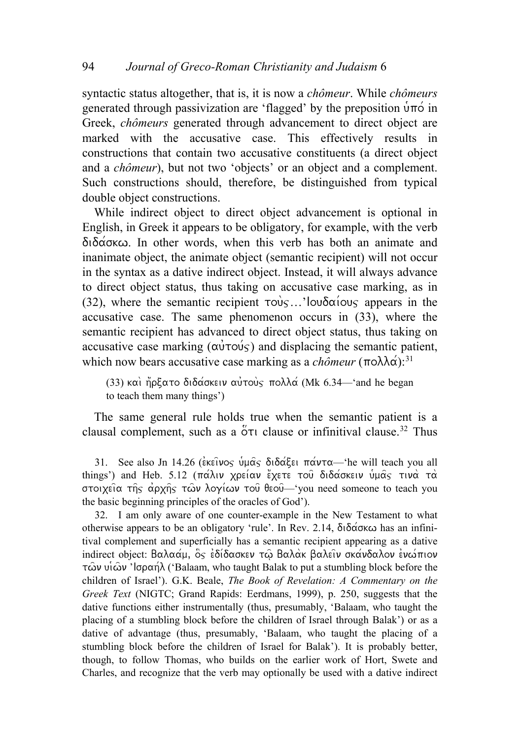syntactic status altogether, that is, it is now a *chômeur*. While *chômeurs* generated through passivization are 'flagged' by the preposition  $\hat{\mathbf{u}}$  of in Greek, *chômeurs* generated through advancement to direct object are marked with the accusative case. This effectively results in constructions that contain two accusative constituents (a direct object and a *chômeur*), but not two 'objects' or an object and a complement. Such constructions should, therefore, be distinguished from typical double object constructions.

While indirect object to direct object advancement is optional in English, in Greek it appears to be obligatory, for example, with the verb  $\delta$ ιδάσκω. In other words, when this verb has both an animate and inanimate object, the animate object (semantic recipient) will not occur in the syntax as a dative indirect object. Instead, it will always advance to direct object status, thus taking on accusative case marking, as in (32), where the semantic recipient  $\tau o \dot{v}$ ...'Iou $\delta \alpha$ *ious* appears in the accusative case. The same phenomenon occurs in (33), where the semantic recipient has advanced to direct object status, thus taking on accusative case marking  $(\alpha \dot{\nu} \tau \dot{\alpha})$  and displacing the semantic patient, which now bears accusative case marking as a *chômeur* ( $\pi$ o $\lambda\lambda\alpha$ ):<sup>[31](#page-12-0)</sup>

(33) και ήρξατο διδάσκειν αυτους πολλά (Mk 6.34—'and he began to teach them many things')

The same general rule holds true when the semantic patient is a clausal complement, such as a  $\overset{\circ}{\sigma}\tau$  clause or infinitival clause.<sup>[32](#page-12-1)</sup> Thus

<span id="page-12-0"></span>31. See also Jn 14.26 ( $\epsilon$ κεΐνος υμάς διδάξει πάντα—'he will teach you all things') and Heb. 5.12 ( $\pi\alpha\lambda\upsilon$  χρείαν έχετε του διδάσκειν υμας τινα τα στοιχεία της αρχής των λογίων του θεου— 'you need someone to teach you the basic beginning principles of the oracles of God').

<span id="page-12-1"></span>32. I am only aware of one counter-example in the New Testament to what otherwise appears to be an obligatory 'rule'. In Rev. 2.14,  $\delta$ ιδάσκω has an infinitival complement and superficially has a semantic recipient appearing as a dative indirect object: Βαλαάμ,  $\delta s$  εδίδασκεν τω Βαλάκ βαλειν σκάνδαλον ενωπιον  $\tau$ ών υιών 'lσραήλ ('Balaam, who taught Balak to put a stumbling block before the children of Israel'). G.K. Beale, *The Book of Revelation: A Commentary on the Greek Text* (NIGTC; Grand Rapids: Eerdmans, 1999), p. 250, suggests that the dative functions either instrumentally (thus, presumably, 'Balaam, who taught the placing of a stumbling block before the children of Israel through Balak') or as a dative of advantage (thus, presumably, 'Balaam, who taught the placing of a stumbling block before the children of Israel for Balak'). It is probably better, though, to follow Thomas, who builds on the earlier work of Hort, Swete and Charles, and recognize that the verb may optionally be used with a dative indirect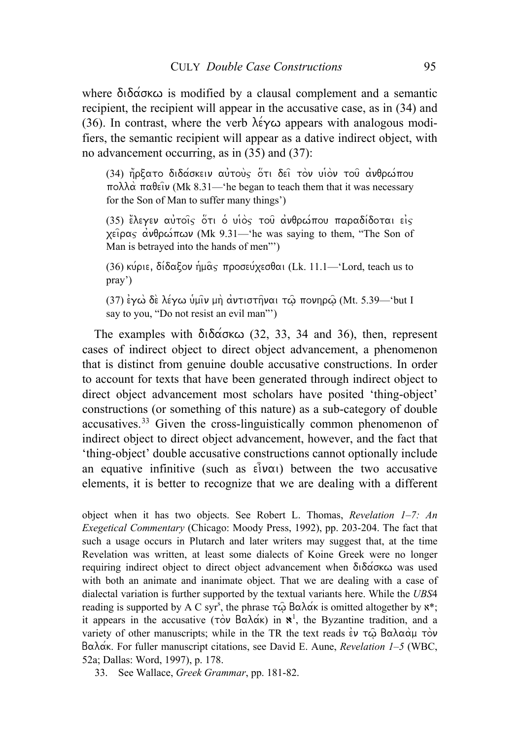where  $\delta \tilde{\delta}$  do  $\tilde{\delta}$  is modified by a clausal complement and a semantic recipient, the recipient will appear in the accusative case, as in (34) and (36). In contrast, where the verb  $\lambda \acute{\epsilon} \gamma \omega$  appears with analogous modifiers, the semantic recipient will appear as a dative indirect object, with no advancement occurring, as in (35) and (37):

(34) ήρξατο διδάσκειν αύτους ότι δεί τον υιον του ανθρώπου  $\pi$ ολλά παθείν (Mk 8.31—'he began to teach them that it was necessary for the Son of Man to suffer many things')

(35) ελεγεν αύτοις ότι ο υίος του ανθρώπου παραδίδοται είς  $\chi$ είρας ανθρώπων (Mk 9.31—'he was saying to them, "The Son of Man is betrayed into the hands of men"')

(36) κύριε, δίδαξον ήμας προσεύχεσθαι (Lk. 11.1—'Lord, teach us to pray')

 $(37)$  εγώ δε λέγω υμιν μη αντιστήναι τω πονηρω (Mt. 5.39—'but I say to you, "Do not resist an evil man"')

The examples with  $\delta_1 \delta_0 \alpha \infty$  (32, 33, 34 and 36), then, represent cases of indirect object to direct object advancement, a phenomenon that is distinct from genuine double accusative constructions. In order to account for texts that have been generated through indirect object to direct object advancement most scholars have posited 'thing-object' constructions (or something of this nature) as a sub-category of double accusatives.[33](#page-13-0) Given the cross-linguistically common phenomenon of indirect object to direct object advancement, however, and the fact that 'thing-object' double accusative constructions cannot optionally include an equative infinitive (such as  $\epsilon \hat{i} \nu \alpha$ ) between the two accusative elements, it is better to recognize that we are dealing with a different

object when it has two objects. See Robert L. Thomas, *Revelation 1–7: An Exegetical Commentary* (Chicago: Moody Press, 1992), pp. 203-204. The fact that such a usage occurs in Plutarch and later writers may suggest that, at the time Revelation was written, at least some dialects of Koine Greek were no longer requiring indirect object to direct object advancement when  $\delta \tilde{\delta} \tilde{\alpha} \tilde{\alpha} \kappa \omega$  was used with both an animate and inanimate object. That we are dealing with a case of dialectal variation is further supported by the textual variants here. While the *UBS*4 reading is supported by A C syr<sup>s</sup>, the phrase  $\tau \hat{\omega}$  B $\alpha \lambda \alpha' \hat{\kappa}$  is omitted altogether by  $x^*$ ; it appears in the accusative ( $\tau \dot{\infty}$  B $\alpha \lambda \dot{\alpha}$ ) in  $\mathbf{x}^1$ , the Byzantine tradition, and a variety of other manuscripts; while in the TR the text reads  $\dot{\epsilon}v$   $\tau\hat{\omega}$   $B\alpha\lambda\alpha\dot{\alpha}\mu\ \tau\dot{\alpha}v$ Bala/k. For fuller manuscript citations, see David E. Aune, *Revelation 1–5* (WBC, 52a; Dallas: Word, 1997), p. 178.

<span id="page-13-0"></span>33. See Wallace, *Greek Grammar*, pp. 181-82.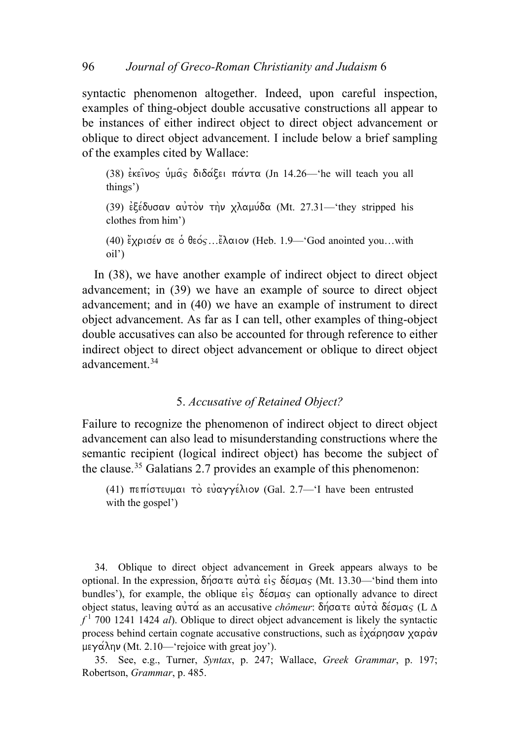syntactic phenomenon altogether. Indeed, upon careful inspection, examples of thing-object double accusative constructions all appear to be instances of either indirect object to direct object advancement or oblique to direct object advancement. I include below a brief sampling of the examples cited by Wallace:

(38)  $\epsilon$ κεΐνος υμας διδάξει πάντα (Jn 14.26—'he will teach you all things') (39) εξέδυσαν αυτόν την χλαμύδα (Mt. 27.31—'they stripped his clothes from him') (40) έχρισέν σε ο θεός... έλαιον (Heb. 1.9—'God anointed you...with oil')

In (38), we have another example of indirect object to direct object advancement; in (39) we have an example of source to direct object advancement; and in (40) we have an example of instrument to direct object advancement. As far as I can tell, other examples of thing-object double accusatives can also be accounted for through reference to either indirect object to direct object advancement or oblique to direct object advancement.[34](#page-14-0)

### 5. *Accusative of Retained Object?*

Failure to recognize the phenomenon of indirect object to direct object advancement can also lead to misunderstanding constructions where the semantic recipient (logical indirect object) has become the subject of the clause.[35](#page-14-1) Galatians 2.7 provides an example of this phenomenon:

(41) πεπίστευμαι τὸ εὐαγγέλιον (Gal. 2.7—'I have been entrusted with the gospel<sup>'</sup>)

<span id="page-14-0"></span>34. Oblique to direct object advancement in Greek appears always to be optional. In the expression,  $\delta \eta \circ \alpha \tau \in \alpha \dot{\gamma} \dot{\alpha} \dot{\epsilon} \dot{\gamma} \delta \dot{\epsilon} \sigma \mu \alpha \dot{\gamma}$  (Mt. 13.30—'bind them into bundles'), for example, the oblique  $\epsilon \dot{\epsilon}$  or  $\epsilon$  can optionally advance to direct object status, leaving αυτά as an accusative *chômeur*: δήσατε αυτά δέσμας (L Δ  $f<sup>1</sup>$  700 1241 1424 *al*). Oblique to direct object advancement is likely the syntactic process behind certain cognate accusative constructions, such as  $\epsilon \chi \alpha \rho \eta \sigma \alpha \nu \chi \alpha \rho \alpha \nu$ μεγάλην (Mt. 2.10—'rejoice with great joy').

<span id="page-14-1"></span>35. See, e.g., Turner, *Syntax*, p. 247; Wallace, *Greek Grammar*, p. 197; Robertson, *Grammar*, p. 485.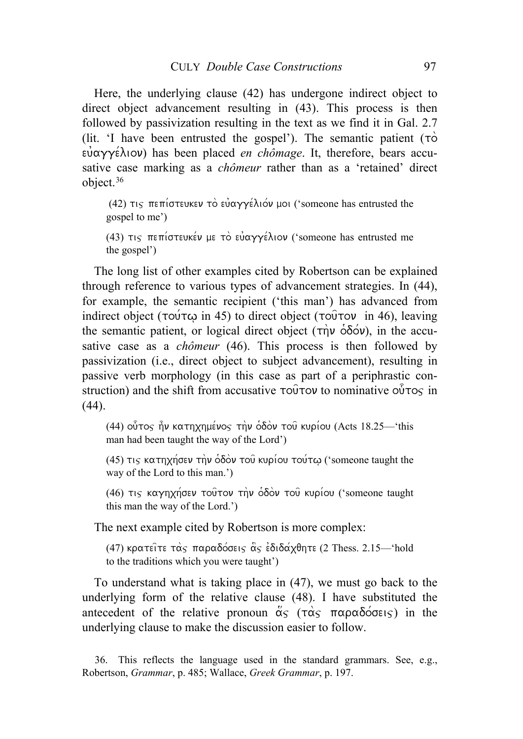Here, the underlying clause (42) has undergone indirect object to direct object advancement resulting in (43). This process is then followed by passivization resulting in the text as we find it in Gal. 2.7 (lit. 'I have been entrusted the gospel'). The semantic patient  $(\tau\circ$  $\epsilon \hat{\nu}$  $\alpha \hat{\nu}$  ( $\epsilon \hat{\lambda}$ ) has been placed *en chômage*. It, therefore, bears accusative case marking as a *chômeur* rather than as a 'retained' direct object.[36](#page-15-0)

(42) τις πεπίστευκεν τὸ εὐαγγέλιόν μοι ('someone has entrusted the gospel to me')

(43)  $\pi$  $\varsigma$   $\pi$ επίστευκέν με τὸ εὐαγγέλιον ('someone has entrusted me the gospel')

The long list of other examples cited by Robertson can be explained through reference to various types of advancement strategies. In (44), for example, the semantic recipient ('this man') has advanced from indirect object ( $\tau$ ou $\tau$ co in 45) to direct object ( $\tau$ ou $\tau$ ov in 46), leaving the semantic patient, or logical direct object ( $\tau$ n)  $\delta\delta$ o $\nu$ ), in the accusative case as a *chômeur* (46). This process is then followed by passivization (i.e., direct object to subject advancement), resulting in passive verb morphology (in this case as part of a periphrastic construction) and the shift from accusative  $\tau$ ous to nominative outlets in  $\overline{a}$  $(44)$ .

(44) ούτος ήν κατηχημένος την όδον του κυρίου (Acts 18.25—'this man had been taught the way of the Lord')

(45) τις κατηχήσεν την οδόν του κυρίου του τω ('someone taught the way of the Lord to this man.')

(46) τις καγηχήσεν τούτον την όδον του κυρίου ('someone taught this man the way of the Lord.')

The next example cited by Robertson is more complex:

(47) κρατείτε τας παραδόσεις ας εδιδάχθητε (2 Thess. 2.15—'hold to the traditions which you were taught')

To understand what is taking place in (47), we must go back to the underlying form of the relative clause (48). I have substituted the antecedent of the relative pronoun  $\alpha_5$  ( $\tau \alpha_5$   $\pi \alpha \beta \delta$  $\sigma \epsilon$  $\epsilon$ ) in the underlying clause to make the discussion easier to follow.

<span id="page-15-0"></span>36. This reflects the language used in the standard grammars. See, e.g., Robertson, *Grammar*, p. 485; Wallace, *Greek Grammar*, p. 197.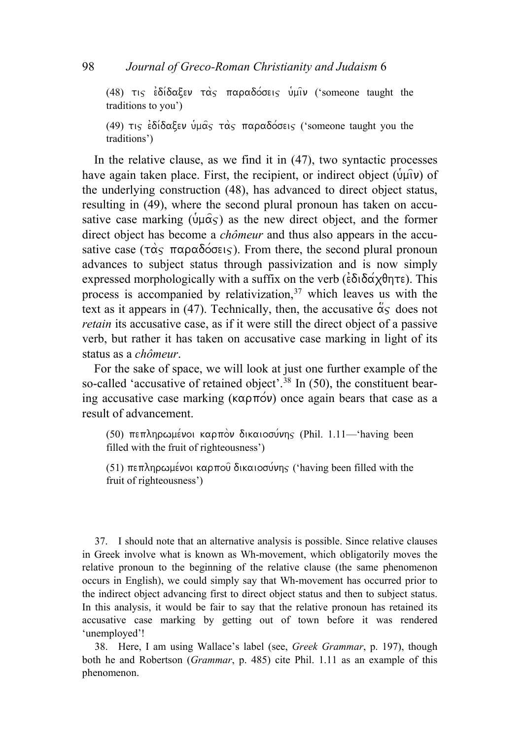(48)  $\tau$  $\varsigma$   $\epsilon$ δίδαξεν τας παραδόσεις υμιν ('someone taught the traditions to you')

(49)  $\pi$  $\varsigma$   $\epsilon$  $\delta$  $\delta$  $\delta$  $\alpha$  $\epsilon$ εν υνα $\alpha$  $\varsigma$   $\tau$  $\alpha$  $\varsigma$  παραδόσεις ('someone taught you the traditions')

In the relative clause, as we find it in (47), two syntactic processes have again taken place. First, the recipient, or indirect object ( $\hat{u}$ u $\hat{u}$ ) of the underlying construction (48), has advanced to direct object status, resulting in (49), where the second plural pronoun has taken on accusative case marking ( $\hat{\psi} \mu \hat{\alpha} \varsigma$ ) as the new direct object, and the former direct object has become a *chômeur* and thus also appears in the accusative case ( $\tau\alpha_s$   $\pi\alpha\rho\alpha\delta\acute{o}$  $\sigma\epsilon\varsigma$ ). From there, the second plural pronoun advances to subject status through passivization and is now simply expressed morphologically with a suffix on the verb  $(\epsilon \delta \delta \alpha \chi \theta \eta \tau \epsilon)$ . This process is accompanied by relativization,  $37$  which leaves us with the text as it appears in (47). Technically, then, the accusative  $\ddot{\alpha}$  does not *retain* its accusative case, as if it were still the direct object of a passive verb, but rather it has taken on accusative case marking in light of its status as a *chômeur*.

For the sake of space, we will look at just one further example of the so-called 'accusative of retained object'.<sup>[38](#page-16-1)</sup> In (50), the constituent bearing accusative case marking ( $\kappa \alpha \rho \pi \omega$ ) once again bears that case as a result of advancement.

(50) πεπληρωμένοι καρπόν δικαιοσύνης (Phil. 1.11—'having been filled with the fruit of righteousness')

(51) πεπληρωμένοι καρπού δικαιοσύνης ('having been filled with the fruit of righteousness')

<span id="page-16-0"></span>37. I should note that an alternative analysis is possible. Since relative clauses in Greek involve what is known as Wh-movement, which obligatorily moves the relative pronoun to the beginning of the relative clause (the same phenomenon occurs in English), we could simply say that Wh-movement has occurred prior to the indirect object advancing first to direct object status and then to subject status. In this analysis, it would be fair to say that the relative pronoun has retained its accusative case marking by getting out of town before it was rendered 'unemployed'!

<span id="page-16-1"></span>38. Here, I am using Wallace's label (see, *Greek Grammar*, p. 197), though both he and Robertson (*Grammar*, p. 485) cite Phil. 1.11 as an example of this phenomenon.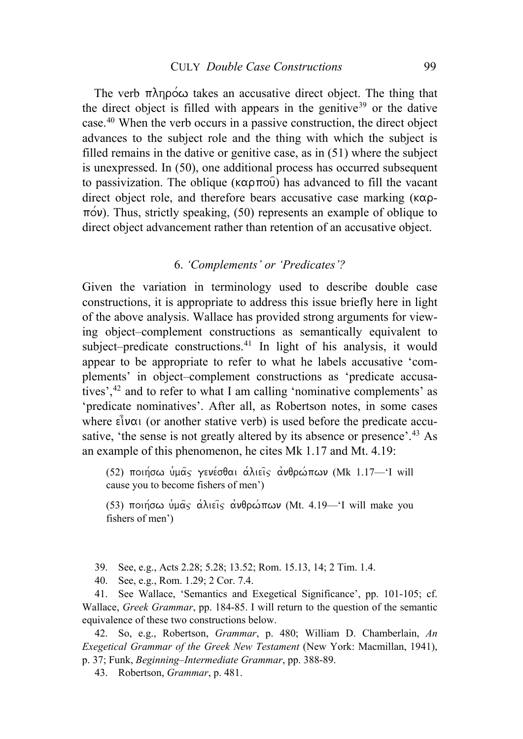The verb  $\pi\lambda$ npo $\infty$  takes an accusative direct object. The thing that the direct object is filled with appears in the genitive<sup>[39](#page-17-0)</sup> or the dative case.[40](#page-17-1) When the verb occurs in a passive construction, the direct object advances to the subject role and the thing with which the subject is filled remains in the dative or genitive case, as in (51) where the subject is unexpressed. In (50), one additional process has occurred subsequent to passivization. The oblique ( $\kappa \alpha \rho \pi o \hat{v}$ ) has advanced to fill the vacant direct object role, and therefore bears accusative case marking  $(\kappa \alpha \rho - \kappa)$  $\pi$ ov). Thus, strictly speaking, (50) represents an example of oblique to direct object advancement rather than retention of an accusative object.

### 6. *'Complements' or 'Predicates'?*

Given the variation in terminology used to describe double case constructions, it is appropriate to address this issue briefly here in light of the above analysis. Wallace has provided strong arguments for viewing object–complement constructions as semantically equivalent to subject–predicate constructions.<sup>[41](#page-17-2)</sup> In light of his analysis, it would appear to be appropriate to refer to what he labels accusative 'complements' in object–complement constructions as 'predicate accusatives',[42](#page-17-3) and to refer to what I am calling 'nominative complements' as 'predicate nominatives'. After all, as Robertson notes, in some cases where  $\epsilon \hat{i} \nu \alpha$  (or another stative verb) is used before the predicate accu-sative, 'the sense is not greatly altered by its absence or presence'.<sup>[43](#page-17-4)</sup> As an example of this phenomenon, he cites Mk 1.17 and Mt. 4.19:

(52) ποιήσω υμάς γενέσθαι άλιεις ανθρώπων (Mk 1.17-1 will cause you to become fishers of men')

(53) ποιήσω υμάς αλιείς ανθρώπων (Mt. 4.19—'I will make you fishers of men')

39. See, e.g., Acts 2.28; 5.28; 13.52; Rom. 15.13, 14; 2 Tim. 1.4.

40. See, e.g., Rom. 1.29; 2 Cor. 7.4.

<span id="page-17-2"></span><span id="page-17-1"></span><span id="page-17-0"></span>41. See Wallace, 'Semantics and Exegetical Significance', pp. 101-105; cf. Wallace, *Greek Grammar*, pp. 184-85. I will return to the question of the semantic equivalence of these two constructions below.

<span id="page-17-4"></span><span id="page-17-3"></span>42. So, e.g., Robertson, *Grammar*, p. 480; William D. Chamberlain, *An Exegetical Grammar of the Greek New Testament* (New York: Macmillan, 1941), p. 37; Funk, *Beginning–Intermediate Grammar*, pp. 388-89.

43. Robertson, *Grammar*, p. 481.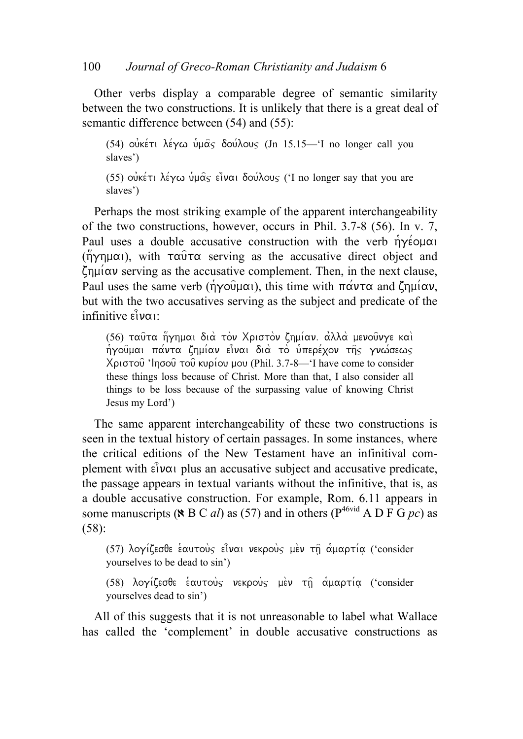Other verbs display a comparable degree of semantic similarity between the two constructions. It is unlikely that there is a great deal of semantic difference between (54) and (55):

(54) ουκέτι λέγω υμάς δούλους (Jn 15.15—'I no longer call you slaves')

(55) oukert λέγω υμάς είναι δούλους ('I no longer say that you are slaves')

Perhaps the most striking example of the apparent interchangeability of the two constructions, however, occurs in Phil. 3.7-8 (56). In v. 7, Paul uses a double accusative construction with the verb  $\eta\gamma\acute{\epsilon}$  $(\n\eta\gamma\eta\mu\alpha)$ , with  $\tau\alpha\hat{\nu}\tau\alpha$  serving as the accusative direct object and  $\zeta$ <sub>nu</sub> $\alpha$  serving as the accusative complement. Then, in the next clause, Paul uses the same verb ( $\eta\gamma o \hat{\upsilon} \mu \alpha \hat{\upsilon}$ ), this time with  $\pi \alpha \nu \tau \alpha$  and  $\zeta \eta \mu \hat{\upsilon} \alpha \nu$ , but with the two accusatives serving as the subject and predicate of the  $\inf$ infinitive  $\hat{\mathbf{e}}$ <sub>1</sub> $\alpha$ 

(56) ταύτα ήγημαι διά τον Χριστον ζημίαν. άλλα μενούνγε και ήγούμαι πάντα ζημίαν εἶναι διὰ τὸ ὑπερέχον της γνώσεως  $X$ ριστού 'Inσού του κυρίου μου (Phil. 3.7-8—'I have come to consider these things loss because of Christ. More than that, I also consider all things to be loss because of the surpassing value of knowing Christ Jesus my Lord')

The same apparent interchangeability of these two constructions is seen in the textual history of certain passages. In some instances, where the critical editions of the New Testament have an infinitival complement with  $\epsilon \hat{i} \nu \alpha$  plus an accusative subject and accusative predicate, the passage appears in textual variants without the infinitive, that is, as a double accusative construction. For example, Rom. 6.11 appears in some manuscripts ( $\angle$  B C *al*) as (57) and in others ( $P^{46vid}$  A D F G *pc*) as (58):

(57) λογίζεσθε έαυτούς είναι νεκρούς μεν τη αμαρτία ('consider yourselves to be dead to sin')

(58) λογίζεσθε εαυτούς νεκρούς μεν τη αμαρτία ('consider yourselves dead to sin')

All of this suggests that it is not unreasonable to label what Wallace has called the 'complement' in double accusative constructions as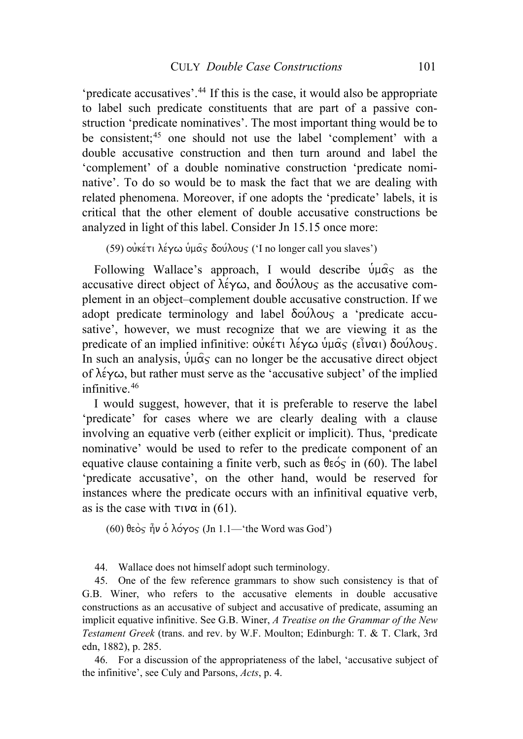'predicate accusatives'.[44](#page-19-0) If this is the case, it would also be appropriate to label such predicate constituents that are part of a passive construction 'predicate nominatives'. The most important thing would be to be consistent:<sup>[45](#page-19-1)</sup> one should not use the label 'complement' with a double accusative construction and then turn around and label the 'complement' of a double nominative construction 'predicate nominative'. To do so would be to mask the fact that we are dealing with related phenomena. Moreover, if one adopts the 'predicate' labels, it is critical that the other element of double accusative constructions be analyzed in light of this label. Consider Jn 15.15 once more:

(59) οὐκέτι λέγω ὑμας δούλους ('I no longer call you slaves')

Following Wallace's approach, I would describe  $\hat{\nu} \mu \hat{\alpha}$  as the accusative direct object of  $\lambda \in \gamma \omega$ , and  $\delta \omega \lambda \infty$  as the accusative complement in an object–complement double accusative construction. If we adopt predicate terminology and label  $\delta o \acute{u} \lambda o \nu_s$  a 'predicate accusative', however, we must recognize that we are viewing it as the predicate of an implied infinitive:  $\vec{\omega}$ κέτι λέγω υμας (είναι) δουλους. In such an analysis,  $\psi \mu \hat{\alpha}$  can no longer be the accusative direct object of  $\lambda \in \gamma \omega$ , but rather must serve as the 'accusative subject' of the implied infinitive.[46](#page-19-2)

I would suggest, however, that it is preferable to reserve the label 'predicate' for cases where we are clearly dealing with a clause involving an equative verb (either explicit or implicit). Thus, 'predicate nominative' would be used to refer to the predicate component of an equative clause containing a finite verb, such as  $\theta \in \infty$  in (60). The label 'predicate accusative', on the other hand, would be reserved for instances where the predicate occurs with an infinitival equative verb, as is the case with  $\tau \nu \alpha$  in (61).

(60) θεὸς ἦν ὁ λόγος (Jn 1.1—'the Word was God')

44. Wallace does not himself adopt such terminology.

<span id="page-19-1"></span><span id="page-19-0"></span>45. One of the few reference grammars to show such consistency is that of G.B. Winer, who refers to the accusative elements in double accusative constructions as an accusative of subject and accusative of predicate, assuming an implicit equative infinitive. See G.B. Winer, *A Treatise on the Grammar of the New Testament Greek* (trans. and rev. by W.F. Moulton; Edinburgh: T. & T. Clark, 3rd edn, 1882), p. 285.

<span id="page-19-2"></span>46. For a discussion of the appropriateness of the label, 'accusative subject of the infinitive', see Culy and Parsons, *Acts*, p. 4.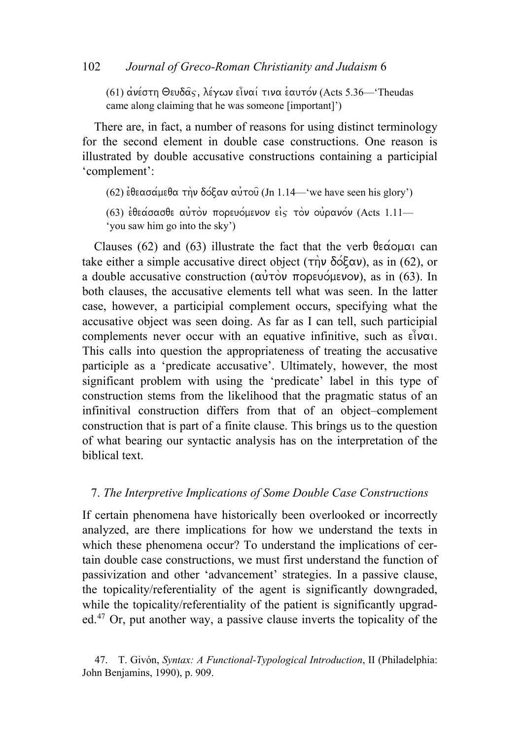## 102 *Journal of Greco-Roman Christianity and Judaism* 6

(61) ανέστη Θευδάς, λέγων είναι τινα εαυτόν (Acts 5.36—'Theudas came along claiming that he was someone [important]')

There are, in fact, a number of reasons for using distinct terminology for the second element in double case constructions. One reason is illustrated by double accusative constructions containing a participial 'complement':

(62) εθεασάμεθα την δόξαν αυτού (Jn 1.14—'we have seen his glory')

(63)  $\epsilon$ θεάσασθε αυτόν πορευόμενον είς τον ουρανόν (Acts 1.11— 'you saw him go into the sky')

Clauses (62) and (63) illustrate the fact that the verb  $\theta \in \alpha$  can take either a simple accusative direct object ( $\tau$  $\hat{\eta}$ ν δόξαν), as in (62), or a double accusative construction ( $\alpha \dot{\nu} \dot{\alpha} \dot{\nu}$  πορευόμενον), as in (63). In both clauses, the accusative elements tell what was seen. In the latter case, however, a participial complement occurs, specifying what the accusative object was seen doing. As far as I can tell, such participial complements never occur with an equative infinitive, such as  $\epsilon \hat{i} \nu \alpha$ . This calls into question the appropriateness of treating the accusative participle as a 'predicate accusative'. Ultimately, however, the most significant problem with using the 'predicate' label in this type of construction stems from the likelihood that the pragmatic status of an infinitival construction differs from that of an object–complement construction that is part of a finite clause. This brings us to the question of what bearing our syntactic analysis has on the interpretation of the biblical text.

#### 7. *The Interpretive Implications of Some Double Case Constructions*

If certain phenomena have historically been overlooked or incorrectly analyzed, are there implications for how we understand the texts in which these phenomena occur? To understand the implications of certain double case constructions, we must first understand the function of passivization and other 'advancement' strategies. In a passive clause, the topicality/referentiality of the agent is significantly downgraded, while the topicality/referentiality of the patient is significantly upgraded.[47](#page-20-0) Or, put another way, a passive clause inverts the topicality of the

<span id="page-20-0"></span><sup>47.</sup> T. Givón, *Syntax: A Functional-Typological Introduction*, II (Philadelphia: John Benjamins, 1990), p. 909.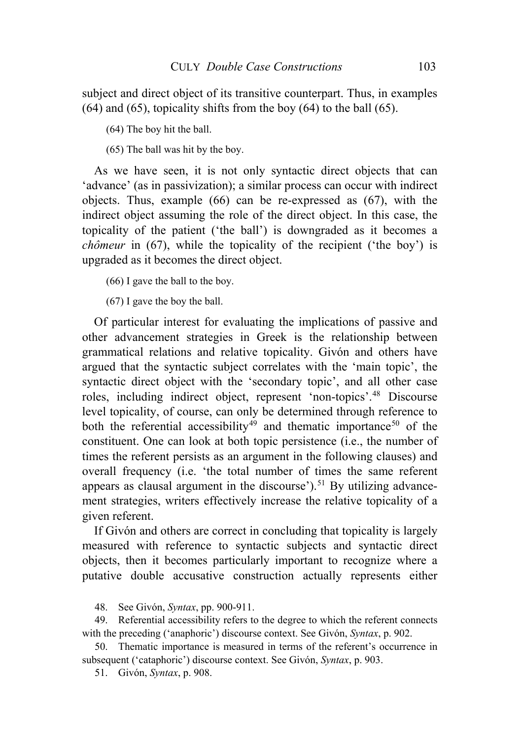subject and direct object of its transitive counterpart. Thus, in examples  $(64)$  and  $(65)$ , topicality shifts from the boy  $(64)$  to the ball  $(65)$ .

(64) The boy hit the ball.

(65) The ball was hit by the boy.

As we have seen, it is not only syntactic direct objects that can 'advance' (as in passivization); a similar process can occur with indirect objects. Thus, example (66) can be re-expressed as (67), with the indirect object assuming the role of the direct object. In this case, the topicality of the patient ('the ball') is downgraded as it becomes a *chômeur* in (67), while the topicality of the recipient ('the boy') is upgraded as it becomes the direct object.

(66) I gave the ball to the boy.

(67) I gave the boy the ball.

Of particular interest for evaluating the implications of passive and other advancement strategies in Greek is the relationship between grammatical relations and relative topicality. Givón and others have argued that the syntactic subject correlates with the 'main topic', the syntactic direct object with the 'secondary topic', and all other case roles, including indirect object, represent 'non-topics'.[48](#page-21-0) Discourse level topicality, of course, can only be determined through reference to both the referential accessibility<sup>[49](#page-21-1)</sup> and thematic importance<sup>[50](#page-21-2)</sup> of the constituent. One can look at both topic persistence (i.e., the number of times the referent persists as an argument in the following clauses) and overall frequency (i.e. 'the total number of times the same referent appears as clausal argument in the discourse').<sup>[51](#page-21-3)</sup> By utilizing advancement strategies, writers effectively increase the relative topicality of a given referent.

If Givón and others are correct in concluding that topicality is largely measured with reference to syntactic subjects and syntactic direct objects, then it becomes particularly important to recognize where a putative double accusative construction actually represents either

48. See Givón, *Syntax*, pp. 900-911.

<span id="page-21-1"></span><span id="page-21-0"></span>49. Referential accessibility refers to the degree to which the referent connects with the preceding ('anaphoric') discourse context. See Givón, *Syntax*, p. 902.

<span id="page-21-3"></span><span id="page-21-2"></span>50. Thematic importance is measured in terms of the referent's occurrence in subsequent ('cataphoric') discourse context. See Givón, *Syntax*, p. 903.

51. Givón, *Syntax*, p. 908.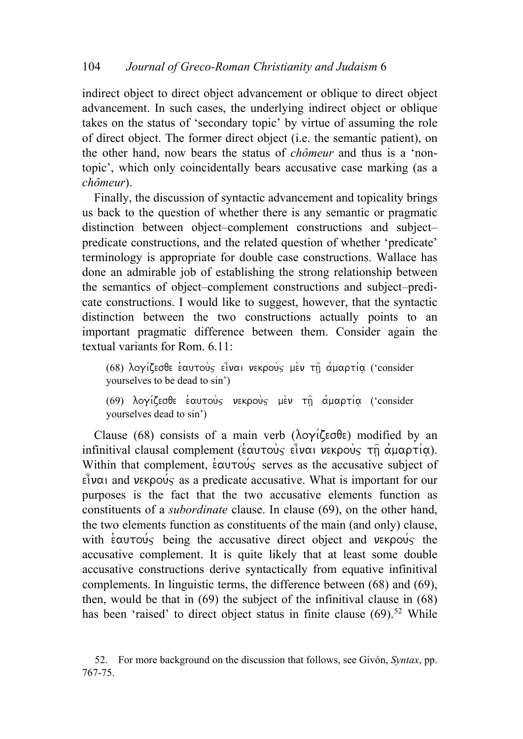indirect object to direct object advancement or oblique to direct object advancement. In such cases, the underlying indirect object or oblique takes on the status of 'secondary topic' by virtue of assuming the role of direct object. The former direct object (i.e. the semantic patient), on the other hand, now bears the status of *chômeur* and thus is a 'nontopic', which only coincidentally bears accusative case marking (as a *chômeur*).

Finally, the discussion of syntactic advancement and topicality brings us back to the question of whether there is any semantic or pragmatic distinction between object–complement constructions and subject– predicate constructions, and the related question of whether 'predicate' terminology is appropriate for double case constructions. Wallace has done an admirable job of establishing the strong relationship between the semantics of object–complement constructions and subject–predicate constructions. I would like to suggest, however, that the syntactic distinction between the two constructions actually points to an important pragmatic difference between them. Consider again the textual variants for Rom. 6.11:

(68) λογίζεσθε έαυτούς είναι νεκρούς μέν τη αμαρτία ('consider yourselves to be dead to sin')

(69) λογίζεσθε εαυτούς νεκρούς μεν τη αμαρτία ('consider yourselves dead to sin')

Clause (68) consists of a main verb ( $\lambda$ o $\gamma$ i $\zeta$ eoθε) modified by an infinitival clausal complement ( $\hat{\epsilon}$ αυτούς εἶναι νεκρούς τη αμαρτία). Within that complement,  $\frac{1}{6}$   $\alpha$   $\alpha$   $\alpha$   $\beta$  serves as the accusative subject of  $\epsilon \hat{i}$ ναι and νεκρούς as a predicate accusative. What is important for our purposes is the fact that the two accusative elements function as constituents of a *subordinate* clause. In clause (69), on the other hand, the two elements function as constituents of the main (and only) clause, with  $\frac{1}{2}$  counterproper the accusative direct object and vekpours the accusative complement. It is quite likely that at least some double accusative constructions derive syntactically from equative infinitival complements. In linguistic terms, the difference between (68) and (69), then, would be that in (69) the subject of the infinitival clause in (68) has been 'raised' to direct object status in finite clause  $(69)$ <sup>[52](#page-22-0)</sup> While

<span id="page-22-0"></span><sup>52.</sup> For more background on the discussion that follows, see Givón, *Syntax*, pp. 767-75.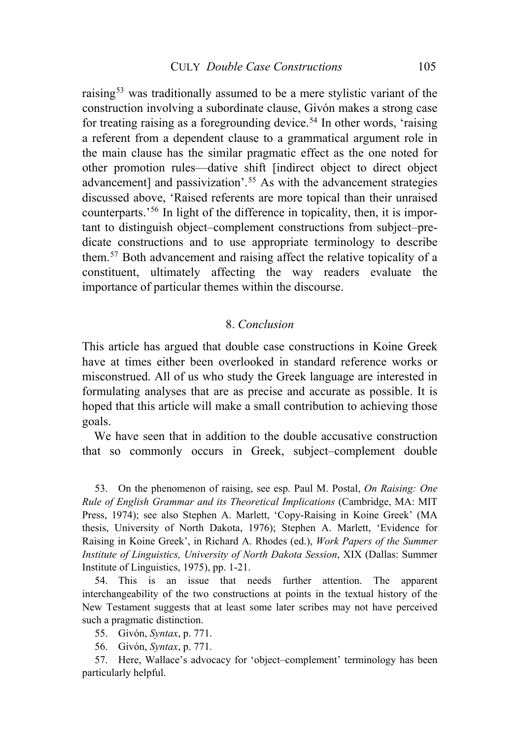raising<sup>[53](#page-23-0)</sup> was traditionally assumed to be a mere stylistic variant of the construction involving a subordinate clause, Givón makes a strong case for treating raising as a foregrounding device.<sup>[54](#page-23-1)</sup> In other words, 'raising a referent from a dependent clause to a grammatical argument role in the main clause has the similar pragmatic effect as the one noted for other promotion rules—dative shift [indirect object to direct object advancement] and passivization'.<sup>[55](#page-23-2)</sup> As with the advancement strategies discussed above, 'Raised referents are more topical than their unraised counterparts.'[56](#page-23-3) In light of the difference in topicality, then, it is important to distinguish object–complement constructions from subject–predicate constructions and to use appropriate terminology to describe them.[57](#page-23-4) Both advancement and raising affect the relative topicality of a constituent, ultimately affecting the way readers evaluate the importance of particular themes within the discourse.

### 8. *Conclusion*

This article has argued that double case constructions in Koine Greek have at times either been overlooked in standard reference works or misconstrued. All of us who study the Greek language are interested in formulating analyses that are as precise and accurate as possible. It is hoped that this article will make a small contribution to achieving those goals.

We have seen that in addition to the double accusative construction that so commonly occurs in Greek, subject–complement double

<span id="page-23-0"></span>53. On the phenomenon of raising, see esp. Paul M. Postal, *On Raising: One Rule of English Grammar and its Theoretical Implications* (Cambridge, MA: MIT Press, 1974); see also Stephen A. Marlett, 'Copy-Raising in Koine Greek' (MA thesis, University of North Dakota, 1976); Stephen A. Marlett, 'Evidence for Raising in Koine Greek', in Richard A. Rhodes (ed.), *Work Papers of the Summer Institute of Linguistics, University of North Dakota Session*, XIX (Dallas: Summer Institute of Linguistics, 1975), pp. 1-21.

<span id="page-23-1"></span>54. This is an issue that needs further attention. The apparent interchangeability of the two constructions at points in the textual history of the New Testament suggests that at least some later scribes may not have perceived such a pragmatic distinction.

55. Givón, *Syntax*, p. 771.

56. Givón, *Syntax*, p. 771.

<span id="page-23-4"></span><span id="page-23-3"></span><span id="page-23-2"></span>57. Here, Wallace's advocacy for 'object–complement' terminology has been particularly helpful.